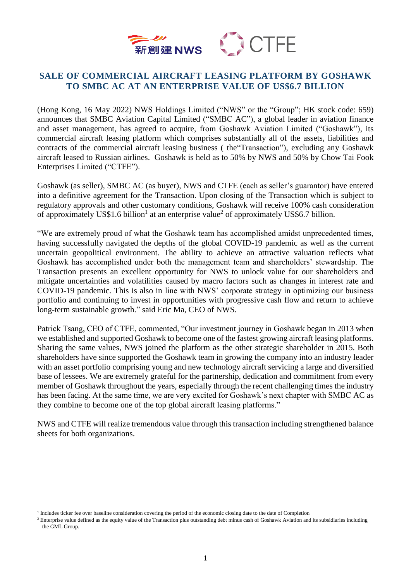



## **SALE OF COMMERCIAL AIRCRAFT LEASING PLATFORM BY GOSHAWK TO SMBC AC AT AN ENTERPRISE VALUE OF US\$6.7 BILLION**

(Hong Kong, 16 May 2022) NWS Holdings Limited ("NWS" or the "Group"; HK stock code: 659) announces that SMBC Aviation Capital Limited ("SMBC AC"), a global leader in aviation finance and asset management, has agreed to acquire, from Goshawk Aviation Limited ("Goshawk"), its commercial aircraft leasing platform which comprises substantially all of the assets, liabilities and contracts of the commercial aircraft leasing business ( the"Transaction"), excluding any Goshawk aircraft leased to Russian airlines. Goshawk is held as to 50% by NWS and 50% by Chow Tai Fook Enterprises Limited ("CTFE").

Goshawk (as seller), SMBC AC (as buyer), NWS and CTFE (each as seller's guarantor) have entered into a definitive agreement for the Transaction. Upon closing of the Transaction which is subject to regulatory approvals and other customary conditions, Goshawk will receive 100% cash consideration of approximately US\$1.6 billion<sup>1</sup> at an enterprise value<sup>2</sup> of approximately US\$6.7 billion.

"We are extremely proud of what the Goshawk team has accomplished amidst unprecedented times, having successfully navigated the depths of the global COVID-19 pandemic as well as the current uncertain geopolitical environment. The ability to achieve an attractive valuation reflects what Goshawk has accomplished under both the management team and shareholders' stewardship. The Transaction presents an excellent opportunity for NWS to unlock value for our shareholders and mitigate uncertainties and volatilities caused by macro factors such as changes in interest rate and COVID-19 pandemic. This is also in line with NWS' corporate strategy in optimizing our business portfolio and continuing to invest in opportunities with progressive cash flow and return to achieve long-term sustainable growth." said Eric Ma, CEO of NWS.

Patrick Tsang, CEO of CTFE, commented, "Our investment journey in Goshawk began in 2013 when we established and supported Goshawk to become one of the fastest growing aircraft leasing platforms. Sharing the same values, NWS joined the platform as the other strategic shareholder in 2015. Both shareholders have since supported the Goshawk team in growing the company into an industry leader with an asset portfolio comprising young and new technology aircraft servicing a large and diversified base of lessees. We are extremely grateful for the partnership, dedication and commitment from every member of Goshawk throughout the years, especially through the recent challenging times the industry has been facing. At the same time, we are very excited for Goshawk's next chapter with SMBC AC as they combine to become one of the top global aircraft leasing platforms."

NWS and CTFE will realize tremendous value through this transaction including strengthened balance sheets for both organizations.

 $\overline{\phantom{a}}$ 

<sup>&</sup>lt;sup>1</sup> Includes ticker fee over baseline consideration covering the period of the economic closing date to the date of Completion

<sup>&</sup>lt;sup>2</sup> Enterprise value defined as the equity value of the Transaction plus outstanding debt minus cash of Goshawk Aviation and its subsidiaries including the GML Group.